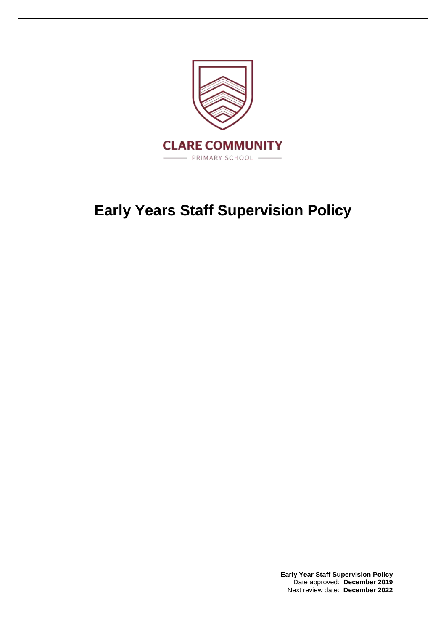

## **Early Years Staff Supervision Policy**

**Early Year Staff Supervision Policy** Date approved: **December 2019** Next review date: **December 2022**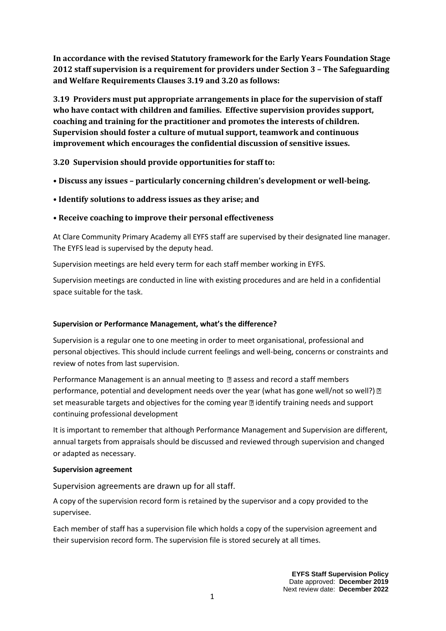**In accordance with the revised Statutory framework for the Early Years Foundation Stage 2012 staff supervision is a requirement for providers under Section 3 – The Safeguarding and Welfare Requirements Clauses 3.19 and 3.20 as follows:** 

**3.19 Providers must put appropriate arrangements in place for the supervision of staff who have contact with children and families. Effective supervision provides support, coaching and training for the practitioner and promotes the interests of children. Supervision should foster a culture of mutual support, teamwork and continuous improvement which encourages the confidential discussion of sensitive issues.** 

**3.20 Supervision should provide opportunities for staff to:** 

- **Discuss any issues – particularly concerning children's development or well-being.**
- **Identify solutions to address issues as they arise; and**
- **Receive coaching to improve their personal effectiveness**

At Clare Community Primary Academy all EYFS staff are supervised by their designated line manager. The EYFS lead is supervised by the deputy head.

Supervision meetings are held every term for each staff member working in EYFS.

Supervision meetings are conducted in line with existing procedures and are held in a confidential space suitable for the task.

## **Supervision or Performance Management, what's the difference?**

Supervision is a regular one to one meeting in order to meet organisational, professional and personal objectives. This should include current feelings and well-being, concerns or constraints and review of notes from last supervision.

Performance Management is an annual meeting to  $\mathbb D$  assess and record a staff members performance, potential and development needs over the year (what has gone well/not so well?) 2 set measurable targets and objectives for the coming year  $\mathbb D$  identify training needs and support continuing professional development

It is important to remember that although Performance Management and Supervision are different, annual targets from appraisals should be discussed and reviewed through supervision and changed or adapted as necessary.

## **Supervision agreement**

Supervision agreements are drawn up for all staff.

A copy of the supervision record form is retained by the supervisor and a copy provided to the supervisee.

Each member of staff has a supervision file which holds a copy of the supervision agreement and their supervision record form. The supervision file is stored securely at all times.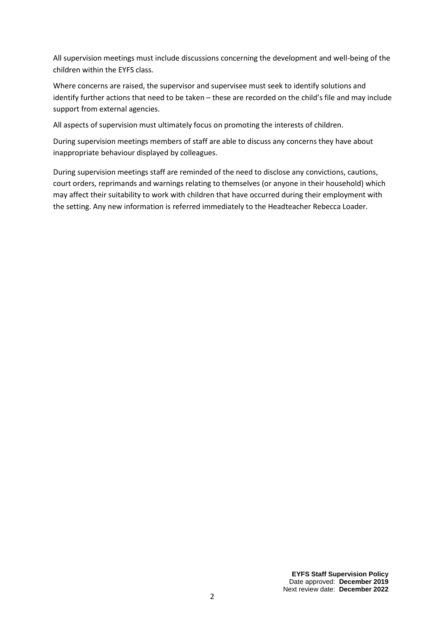All supervision meetings must include discussions concerning the development and well-being of the children within the EYFS class.

Where concerns are raised, the supervisor and supervisee must seek to identify solutions and identify further actions that need to be taken – these are recorded on the child's file and may include support from external agencies.

All aspects of supervision must ultimately focus on promoting the interests of children.

During supervision meetings members of staff are able to discuss any concerns they have about inappropriate behaviour displayed by colleagues.

During supervision meetings staff are reminded of the need to disclose any convictions, cautions, court orders, reprimands and warnings relating to themselves (or anyone in their household) which may affect their suitability to work with children that have occurred during their employment with the setting. Any new information is referred immediately to the Headteacher Rebecca Loader.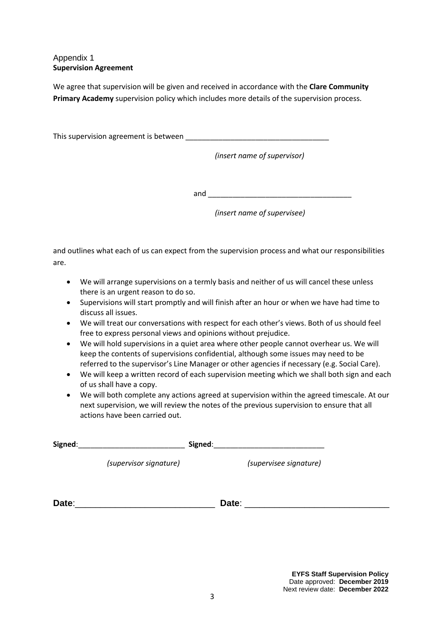## Appendix 1 **Supervision Agreement**

We agree that supervision will be given and received in accordance with the **Clare Community Primary Academy** supervision policy which includes more details of the supervision process.

This supervision agreement is between  $\blacksquare$ 

*(insert name of supervisor)*

and  $\overline{\phantom{a}}$ 

*(insert name of supervisee)*

and outlines what each of us can expect from the supervision process and what our responsibilities are.

- We will arrange supervisions on a termly basis and neither of us will cancel these unless there is an urgent reason to do so.
- Supervisions will start promptly and will finish after an hour or when we have had time to discuss all issues.
- We will treat our conversations with respect for each other's views. Both of us should feel free to express personal views and opinions without prejudice.
- We will hold supervisions in a quiet area where other people cannot overhear us. We will keep the contents of supervisions confidential, although some issues may need to be referred to the supervisor's Line Manager or other agencies if necessary (e.g. Social Care).
- We will keep a written record of each supervision meeting which we shall both sign and each of us shall have a copy.
- We will both complete any actions agreed at supervision within the agreed timescale. At our next supervision, we will review the notes of the previous supervision to ensure that all actions have been carried out.

| Signed: |                        | Signed: |                        |  |
|---------|------------------------|---------|------------------------|--|
|         | (supervisor signature) |         | (supervisee signature) |  |
|         |                        |         |                        |  |
| Date:   |                        | Date:   |                        |  |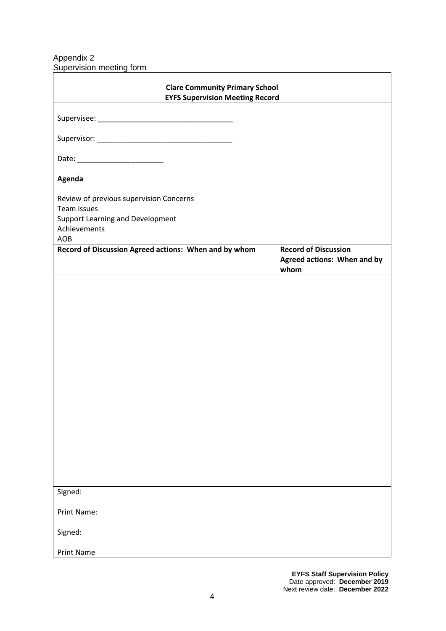Appendix 2 Supervision meeting form

| <b>Clare Community Primary School</b><br><b>EYFS Supervision Meeting Record</b> |                                     |  |  |  |
|---------------------------------------------------------------------------------|-------------------------------------|--|--|--|
|                                                                                 |                                     |  |  |  |
|                                                                                 |                                     |  |  |  |
|                                                                                 |                                     |  |  |  |
|                                                                                 |                                     |  |  |  |
| Agenda                                                                          |                                     |  |  |  |
| Review of previous supervision Concerns<br>Team issues                          |                                     |  |  |  |
| Support Learning and Development<br>Achievements                                |                                     |  |  |  |
| AOB                                                                             |                                     |  |  |  |
| Record of Discussion Agreed actions: When and by whom                           | <b>Record of Discussion</b>         |  |  |  |
|                                                                                 | Agreed actions: When and by<br>whom |  |  |  |
|                                                                                 |                                     |  |  |  |
|                                                                                 |                                     |  |  |  |
|                                                                                 |                                     |  |  |  |
|                                                                                 |                                     |  |  |  |
|                                                                                 |                                     |  |  |  |
|                                                                                 |                                     |  |  |  |
|                                                                                 |                                     |  |  |  |
|                                                                                 |                                     |  |  |  |
|                                                                                 |                                     |  |  |  |
|                                                                                 |                                     |  |  |  |
|                                                                                 |                                     |  |  |  |
|                                                                                 |                                     |  |  |  |
|                                                                                 |                                     |  |  |  |
|                                                                                 |                                     |  |  |  |
|                                                                                 |                                     |  |  |  |
|                                                                                 |                                     |  |  |  |
|                                                                                 |                                     |  |  |  |
| Signed:                                                                         |                                     |  |  |  |
| Print Name:                                                                     |                                     |  |  |  |
| Signed:                                                                         |                                     |  |  |  |
| <b>Print Name</b>                                                               |                                     |  |  |  |